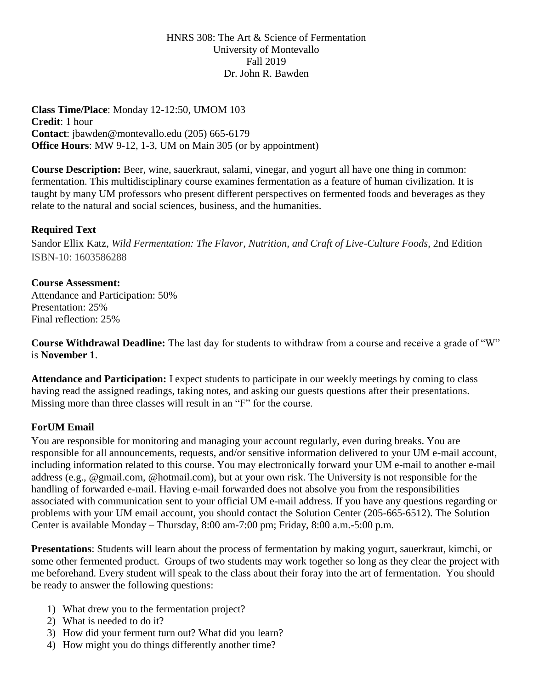HNRS 308: The Art & Science of Fermentation University of Montevallo Fall 2019 Dr. John R. Bawden

**Class Time/Place**: Monday 12-12:50, UMOM 103 **Credit**: 1 hour **Contact**: jbawden@montevallo.edu (205) 665-6179 **Office Hours**: MW 9-12, 1-3, UM on Main 305 (or by appointment)

**Course Description:** Beer, wine, sauerkraut, salami, vinegar, and yogurt all have one thing in common: fermentation. This multidisciplinary course examines fermentation as a feature of human civilization. It is taught by many UM professors who present different perspectives on fermented foods and beverages as they relate to the natural and social sciences, business, and the humanities.

## **Required Text**

Sandor Ellix Katz, *Wild Fermentation: The Flavor, Nutrition, and Craft of Live-Culture Foods*, 2nd Edition ISBN-10: 1603586288

## **Course Assessment:**

Attendance and Participation: 50% Presentation: 25% Final reflection: 25%

**Course Withdrawal Deadline:** The last day for students to withdraw from a course and receive a grade of "W" is **November 1**.

**Attendance and Participation:** I expect students to participate in our weekly meetings by coming to class having read the assigned readings, taking notes, and asking our guests questions after their presentations. Missing more than three classes will result in an "F" for the course.

## **ForUM Email**

You are responsible for monitoring and managing your account regularly, even during breaks. You are responsible for all announcements, requests, and/or sensitive information delivered to your UM e-mail account, including information related to this course. You may electronically forward your UM e-mail to another e-mail address (e.g., @gmail.com, @hotmail.com), but at your own risk. The University is not responsible for the handling of forwarded e-mail. Having e-mail forwarded does not absolve you from the responsibilities associated with communication sent to your official UM e-mail address. If you have any questions regarding or problems with your UM email account, you should contact the Solution Center (205-665-6512). The Solution Center is available Monday – Thursday, 8:00 am-7:00 pm; Friday, 8:00 a.m.-5:00 p.m.

**Presentations**: Students will learn about the process of fermentation by making yogurt, sauerkraut, kimchi, or some other fermented product. Groups of two students may work together so long as they clear the project with me beforehand. Every student will speak to the class about their foray into the art of fermentation. You should be ready to answer the following questions:

- 1) What drew you to the fermentation project?
- 2) What is needed to do it?
- 3) How did your ferment turn out? What did you learn?
- 4) How might you do things differently another time?